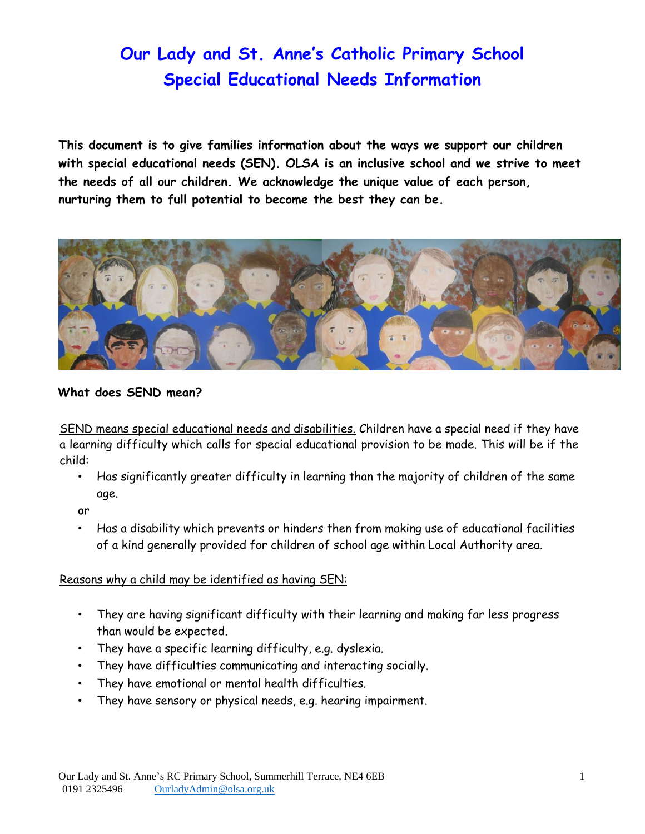**This document is to give families information about the ways we support our children with special educational needs (SEN). OLSA is an inclusive school and we strive to meet the needs of all our children. We acknowledge the unique value of each person, nurturing them to full potential to become the best they can be.** 



### **What does SEND mean?**

SEND means special educational needs and disabilities. Children have a special need if they have a learning difficulty which calls for special educational provision to be made. This will be if the child:

• Has significantly greater difficulty in learning than the majority of children of the same age.

or

• Has a disability which prevents or hinders then from making use of educational facilities of a kind generally provided for children of school age within Local Authority area.

### Reasons why a child may be identified as having SEN:

- They are having significant difficulty with their learning and making far less progress than would be expected.
- They have a specific learning difficulty, e.g. dyslexia.
- They have difficulties communicating and interacting socially.
- They have emotional or mental health difficulties.
- They have sensory or physical needs, e.g. hearing impairment.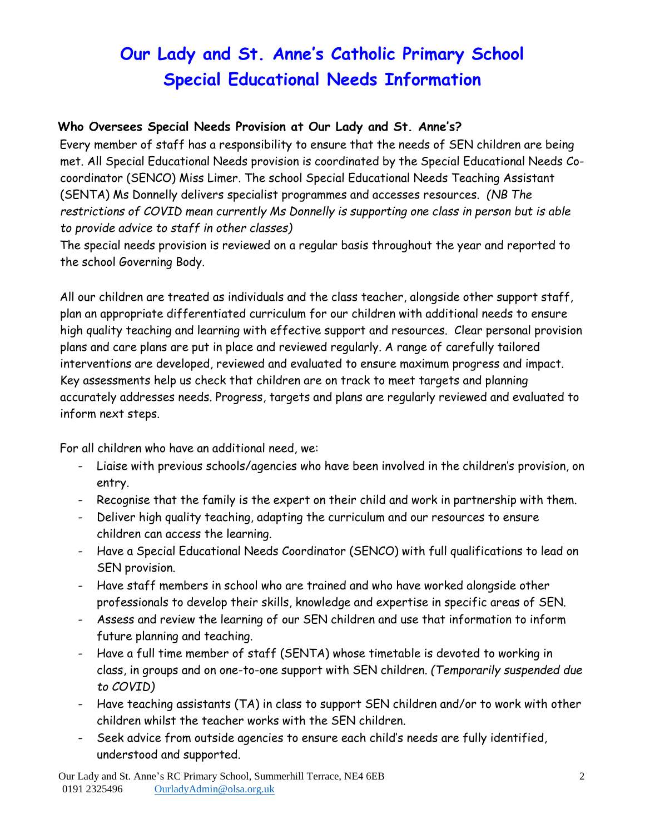### **Who Oversees Special Needs Provision at Our Lady and St. Anne's?**

Every member of staff has a responsibility to ensure that the needs of SEN children are being met. All Special Educational Needs provision is coordinated by the Special Educational Needs Cocoordinator (SENCO) Miss Limer. The school Special Educational Needs Teaching Assistant (SENTA) Ms Donnelly delivers specialist programmes and accesses resources. *(NB The restrictions of COVID mean currently Ms Donnelly is supporting one class in person but is able to provide advice to staff in other classes)* 

The special needs provision is reviewed on a regular basis throughout the year and reported to the school Governing Body.

All our children are treated as individuals and the class teacher, alongside other support staff, plan an appropriate differentiated curriculum for our children with additional needs to ensure high quality teaching and learning with effective support and resources. Clear personal provision plans and care plans are put in place and reviewed regularly. A range of carefully tailored interventions are developed, reviewed and evaluated to ensure maximum progress and impact. Key assessments help us check that children are on track to meet targets and planning accurately addresses needs. Progress, targets and plans are regularly reviewed and evaluated to inform next steps.

For all children who have an additional need, we:

- Liaise with previous schools/agencies who have been involved in the children's provision, on entry.
- Recognise that the family is the expert on their child and work in partnership with them.
- Deliver high quality teaching, adapting the curriculum and our resources to ensure children can access the learning.
- Have a Special Educational Needs Coordinator (SENCO) with full qualifications to lead on SEN provision.
- Have staff members in school who are trained and who have worked alongside other professionals to develop their skills, knowledge and expertise in specific areas of SEN.
- Assess and review the learning of our SEN children and use that information to inform future planning and teaching.
- Have a full time member of staff (SENTA) whose timetable is devoted to working in class, in groups and on one-to-one support with SEN children. *(Temporarily suspended due to COVID)*
- Have teaching assistants (TA) in class to support SEN children and/or to work with other children whilst the teacher works with the SEN children.
- Seek advice from outside agencies to ensure each child's needs are fully identified, understood and supported.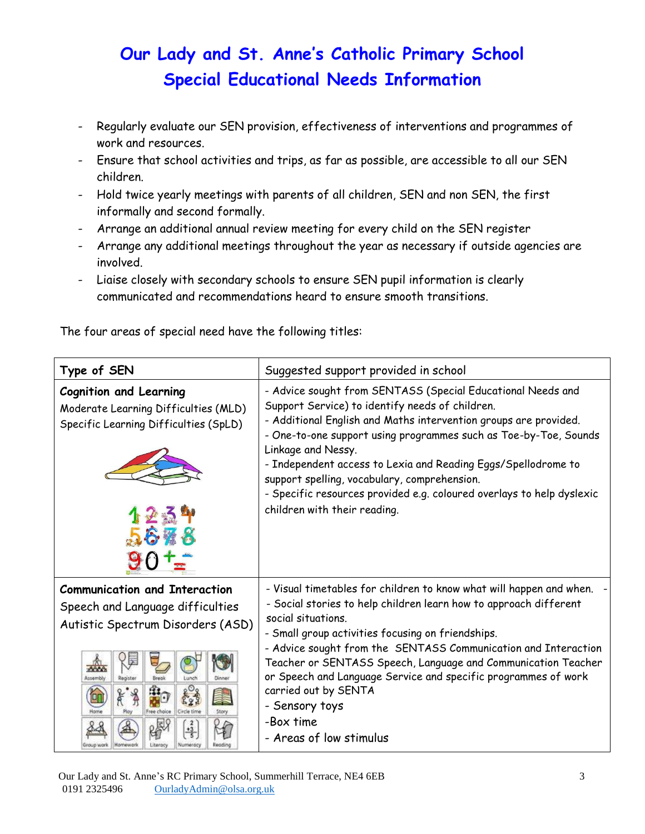- Regularly evaluate our SEN provision, effectiveness of interventions and programmes of work and resources.
- Ensure that school activities and trips, as far as possible, are accessible to all our SEN children.
- Hold twice yearly meetings with parents of all children, SEN and non SEN, the first informally and second formally.
- Arrange an additional annual review meeting for every child on the SEN register
- Arrange any additional meetings throughout the year as necessary if outside agencies are involved.
- Liaise closely with secondary schools to ensure SEN pupil information is clearly communicated and recommendations heard to ensure smooth transitions.

The four areas of special need have the following titles:

| Type of SEN                                                                                                                                                                                                | Suggested support provided in school                                                                                                                                                                                                                                                                                                                                                                                                                                                                       |
|------------------------------------------------------------------------------------------------------------------------------------------------------------------------------------------------------------|------------------------------------------------------------------------------------------------------------------------------------------------------------------------------------------------------------------------------------------------------------------------------------------------------------------------------------------------------------------------------------------------------------------------------------------------------------------------------------------------------------|
| <b>Cognition and Learning</b><br>Moderate Learning Difficulties (MLD)<br>Specific Learning Difficulties (SpLD)                                                                                             | - Advice sought from SENTASS (Special Educational Needs and<br>Support Service) to identify needs of children.<br>- Additional English and Maths intervention groups are provided.<br>- One-to-one support using programmes such as Toe-by-Toe, Sounds<br>Linkage and Nessy.<br>- Independent access to Lexia and Reading Eggs/Spellodrome to<br>support spelling, vocabulary, comprehension.<br>- Specific resources provided e.g. coloured overlays to help dyslexic<br>children with their reading.     |
| <b>Communication and Interaction</b><br>Speech and Language difficulties<br>Autistic Spectrum Disorders (ASD)<br>Registe<br>Break<br>Dinne<br>Circle time<br>Ston<br>뵬<br>Homework<br>Literacy<br>Numerocy | - Visual timetables for children to know what will happen and when.<br>- Social stories to help children learn how to approach different<br>social situations.<br>- Small group activities focusing on friendships.<br>- Advice sought from the SENTASS Communication and Interaction<br>Teacher or SENTASS Speech, Language and Communication Teacher<br>or Speech and Language Service and specific programmes of work<br>carried out by SENTA<br>- Sensory toys<br>-Box time<br>- Areas of low stimulus |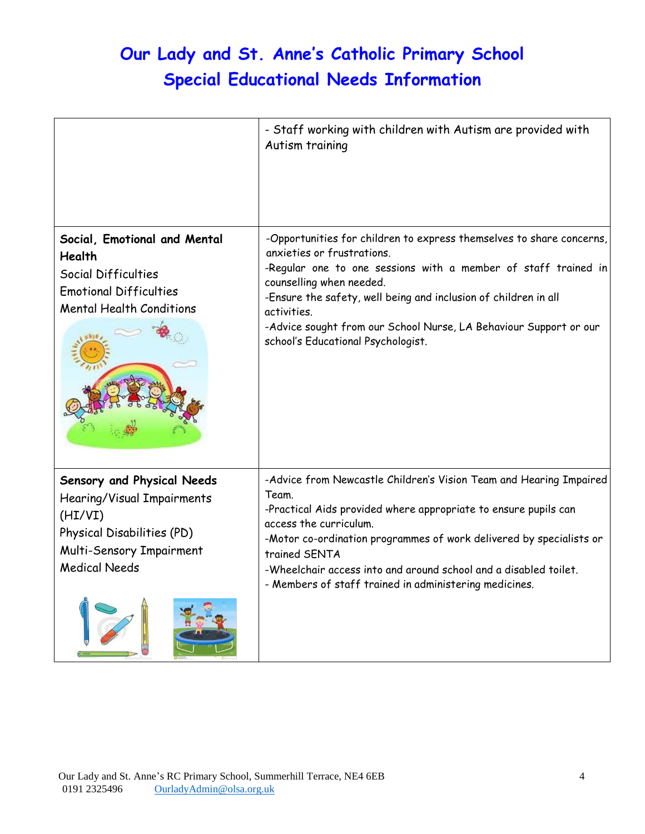|                                                                                                                                                       | - Staff working with children with Autism are provided with<br>Autism training                                                                                                                                                                                                                                                                                                                 |
|-------------------------------------------------------------------------------------------------------------------------------------------------------|------------------------------------------------------------------------------------------------------------------------------------------------------------------------------------------------------------------------------------------------------------------------------------------------------------------------------------------------------------------------------------------------|
| Social, Emotional and Mental<br><b>Health</b><br>Social Difficulties<br><b>Emotional Difficulties</b><br><b>Mental Health Conditions</b>              | -Opportunities for children to express themselves to share concerns,<br>anxieties or frustrations.<br>-Regular one to one sessions with a member of staff trained in<br>counselling when needed.<br>-Ensure the safety, well being and inclusion of children in all<br>activities.<br>-Advice sought from our School Nurse, LA Behaviour Support or our<br>school's Educational Psychologist.  |
| Sensory and Physical Needs<br>Hearing/Visual Impairments<br>(HI/VI)<br>Physical Disabilities (PD)<br>Multi-Sensory Impairment<br><b>Medical Needs</b> | -Advice from Newcastle Children's Vision Team and Hearing Impaired<br>Team.<br>-Practical Aids provided where appropriate to ensure pupils can<br>access the curriculum.<br>-Motor co-ordination programmes of work delivered by specialists or<br>trained SENTA<br>-Wheelchair access into and around school and a disabled toilet.<br>- Members of staff trained in administering medicines. |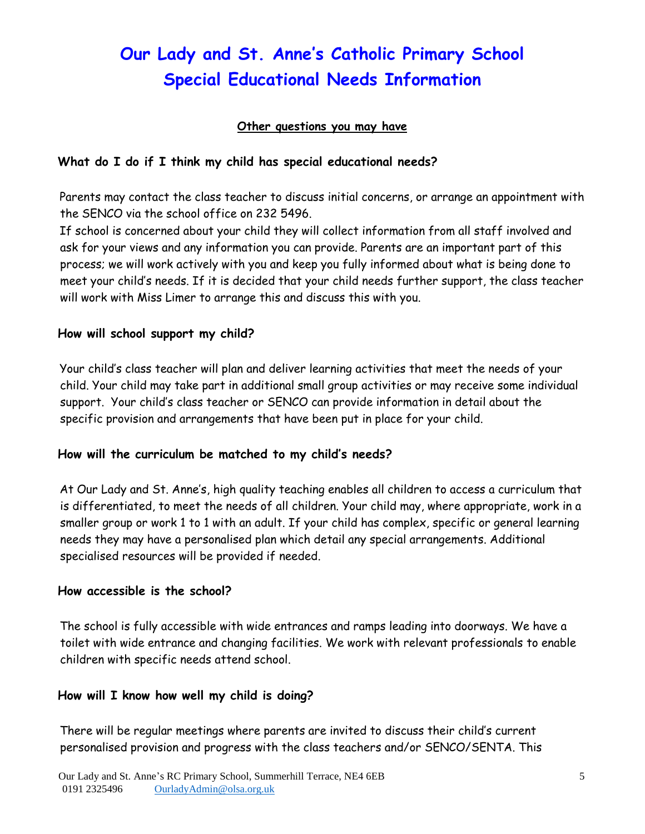### **Other questions you may have**

### **What do I do if I think my child has special educational needs?**

Parents may contact the class teacher to discuss initial concerns, or arrange an appointment with the SENCO via the school office on 232 5496.

If school is concerned about your child they will collect information from all staff involved and ask for your views and any information you can provide. Parents are an important part of this process; we will work actively with you and keep you fully informed about what is being done to meet your child's needs. If it is decided that your child needs further support, the class teacher will work with Miss Limer to arrange this and discuss this with you.

### **How will school support my child?**

Your child's class teacher will plan and deliver learning activities that meet the needs of your child. Your child may take part in additional small group activities or may receive some individual support. Your child's class teacher or SENCO can provide information in detail about the specific provision and arrangements that have been put in place for your child.

### **How will the curriculum be matched to my child's needs?**

At Our Lady and St. Anne's, high quality teaching enables all children to access a curriculum that is differentiated, to meet the needs of all children. Your child may, where appropriate, work in a smaller group or work 1 to 1 with an adult. If your child has complex, specific or general learning needs they may have a personalised plan which detail any special arrangements. Additional specialised resources will be provided if needed.

#### **How accessible is the school?**

The school is fully accessible with wide entrances and ramps leading into doorways. We have a toilet with wide entrance and changing facilities. We work with relevant professionals to enable children with specific needs attend school.

### **How will I know how well my child is doing?**

There will be regular meetings where parents are invited to discuss their child's current personalised provision and progress with the class teachers and/or SENCO/SENTA. This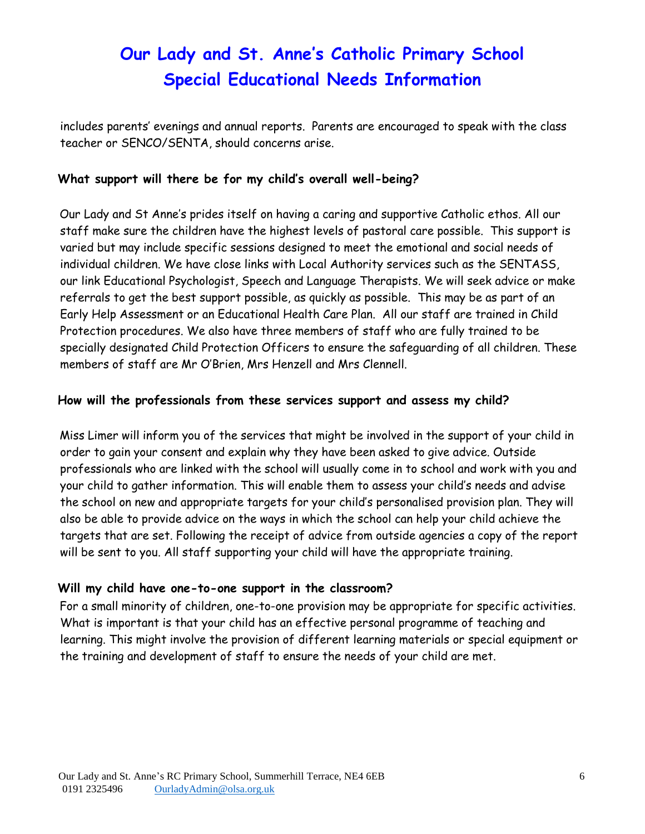includes parents' evenings and annual reports. Parents are encouraged to speak with the class teacher or SENCO/SENTA, should concerns arise.

### **What support will there be for my child's overall well-being?**

Our Lady and St Anne's prides itself on having a caring and supportive Catholic ethos. All our staff make sure the children have the highest levels of pastoral care possible. This support is varied but may include specific sessions designed to meet the emotional and social needs of individual children. We have close links with Local Authority services such as the SENTASS, our link Educational Psychologist, Speech and Language Therapists. We will seek advice or make referrals to get the best support possible, as quickly as possible. This may be as part of an Early Help Assessment or an Educational Health Care Plan. All our staff are trained in Child Protection procedures. We also have three members of staff who are fully trained to be specially designated Child Protection Officers to ensure the safeguarding of all children. These members of staff are Mr O'Brien, Mrs Henzell and Mrs Clennell.

### **How will the professionals from these services support and assess my child?**

Miss Limer will inform you of the services that might be involved in the support of your child in order to gain your consent and explain why they have been asked to give advice. Outside professionals who are linked with the school will usually come in to school and work with you and your child to gather information. This will enable them to assess your child's needs and advise the school on new and appropriate targets for your child's personalised provision plan. They will also be able to provide advice on the ways in which the school can help your child achieve the targets that are set. Following the receipt of advice from outside agencies a copy of the report will be sent to you. All staff supporting your child will have the appropriate training.

### **Will my child have one-to-one support in the classroom?**

For a small minority of children, one-to-one provision may be appropriate for specific activities. What is important is that your child has an effective personal programme of teaching and learning. This might involve the provision of different learning materials or special equipment or the training and development of staff to ensure the needs of your child are met.